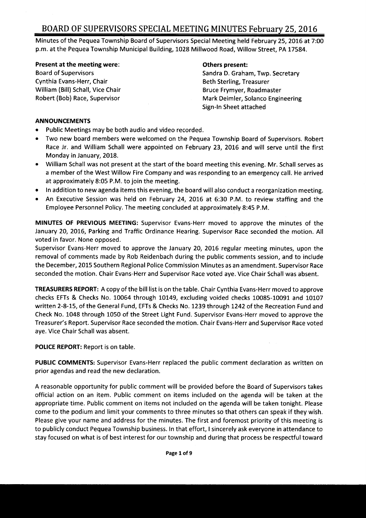Minutes of the Pequea Township Board of Supervisors Special Meeting held February 25, 2016 at 7: 00 p.m. at the Pequea Township Municipal Building, 1028 Millwood Road, Willow Street, PA 17584.

Present at the meeting were: The mass of the present: Others present:

Cynthia Evans-Herr, Chair **Beth Sterling**, Treasurer William (Bill) Schall, Vice Chair **Bruce Frymyer, Roadmaster** Bruce Frymyer, Roadmaster

Board of Supervisors Sandra D. Graham, Twp. Secretary Robert (Bob) Race, Supervisor Mark Deimler, Solanco Engineering Sign-In Sheet attached

#### ANNOUNCEMENTS

- Public Meetings may be both audio and video recorded.  $\bullet$
- Two new board members were welcomed on the Pequea Township Board of Supervisors. Robert  $\bullet$ Race Jr. and William Schall were appointed on February 23, 2016 and will serve until the first Monday in January, 2018.
- William Schall was not present at the start of the board meeting this evening. Mr. Schall serves as  $\bullet$ <sup>a</sup> member of the West Willow Fire Company and was responding to an emergency call. He arrived at approximately 8:05 P.M. to join the meeting.
- In addition to new agenda items this evening, the board will also conduct <sup>a</sup> reorganization meeting.
- An Executive Session was held on February 24, 2016 at 6:30 P.M. to review staffing and the Employee Personnel Policy. The meeting concluded at approximately 8:45 P. M.

MINUTES OF PREVIOUS MEETING: Supervisor Evans- Herr moved to approve the minutes of the January 20, 2016, Parking and Traffic Ordinance Hearing. Supervisor Race seconded the motion. All voted in favor. None opposed.

Supervisor Evans- Herr moved to approve the January 20, 2016 regular meeting minutes, upon the removal of comments made by Rob Reidenbach during the public comments session, and to include the December, 2015 Southern Regional Police Commission Minutes as an amendment. Supervisor Race seconded the motion. Chair Evans-Herr and Supervisor Race voted aye. Vice Chair Schall was absent.

TREASURERS REPORT: A copy of the bill list is on the table. Chair Cynthia Evans- Herr moved to approve checks EFTs & Checks No. 10064 through 10149, excluding voided checks 10085- 10091 and 10107 written 2-8-15, of the General Fund, EFTs & Checks No. 1239 through 1242 of the Recreation Fund and Check No. 1048 through 1050 of the Street Light Fund. Supervisor Evans- Herr moved to approve the Treasurer's Report. Supervisor Race seconded the motion. Chair Evans-Herr and Supervisor Race voted aye. Vice Chair Schall was absent.

POLICE REPORT: Report is on table.

PUBLIC COMMENTS: Supervisor Evans-Herr replaced the public comment declaration as written on prior agendas and read the new declaration.

A reasonable opportunity for public comment will be provided before the Board of Supervisors takes official action on an item. Public comment on items included on the agenda will be taken at the appropriate time. Public comment on items not included on the agenda will be taken tonight. Please come to the podium and limit your comments to three minutes so that others can speak if they wish. Please give your name and address for the minutes. The first and foremost priority of this meeting is to publicly conduct Pequea Township business. In that effort, I sincerely ask everyone in attendance to stay focused on what is of best interest for our township and during that process be respectful toward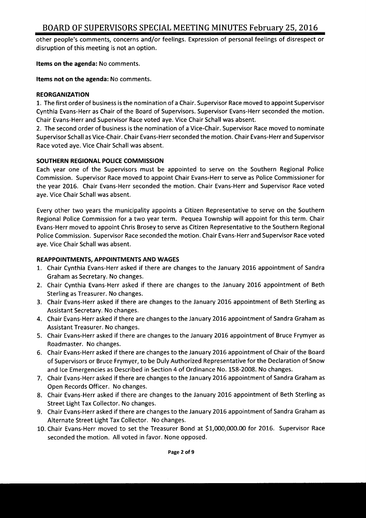other people's comments, concerns and/or feelings. Expression of personal feelings of disrespect or disruption of this meeting is not an option.

Items on the agenda: No comments.

Items not on the agenda: No comments.

#### REORGANIZATION

1. The first order of business is the nomination of <sup>a</sup> Chair. Supervisor Race moved to appoint Supervisor Cynthia Evans- Herr as Chair of the Board of Supervisors. Supervisor Evans- Herr seconded the motion. Chair Evans- Herr and Supervisor Race voted aye. Vice Chair Schall was absent.

2. The second order of business is the nomination of <sup>a</sup> Vice- Chair. Supervisor Race moved to nominate Supervisor Schall as Vice- Chair. Chair Evans- Herr seconded the motion. Chair Evans- Herr and Supervisor Race voted aye. Vice Chair Schall was absent.

#### SOUTHERN REGIONAL POLICE COMMISSION

Each year one of the Supervisors must be appointed to serve on the Southern Regional Police Commission. Supervisor Race moved to appoint Chair Evans- Herr to serve as Police Commissioner for the year 2016. Chair Evans-Herr seconded the motion. Chair Evans-Herr and Supervisor Race voted aye. Vice Chair Schall was absent.

Every other two years the municipality appoints <sup>a</sup> Citizen Representative to serve on the Southern Regional Police Commission for <sup>a</sup> two year term. Pequea Township will appoint for this term. Chair Evans- Herr moved to appoint Chris Brosey to serve as Citizen Representative to the Southern Regional Police Commission. Supervisor Race seconded the motion. Chair Evans- Herr and Supervisor Race voted aye. Vice Chair Schall was absent.

#### REAPPOINTMENTS, APPOINTMENTS AND WAGES

- 1. Chair Cynthia Evans- Herr asked if there are changes to the January 2016 appointment of Sandra Graham as Secretary. No changes.
- 2. Chair Cynthia Evans-Herr asked if there are changes to the January 2016 appointment of Beth Sterling as Treasurer. No changes.
- 3. Chair Evans- Herr asked if there are changes to the January 2016 appointment of Beth Sterling as Assistant Secretary. No changes.
- 4. Chair Evans- Herr asked if there are changes to the January 2016 appointment of Sandra Graham as Assistant Treasurer. No changes.
- 5. Chair Evans- Herr asked if there are changes to the January 2016 appointment of Bruce Frymyer as Roadmaster. No changes.
- 6. Chair Evans- Herr asked if there are changes to the January 2016 appointment of Chair of the Board of Supervisors or Bruce Frymyer, to be Duly Authorized Representative for the Declaration of Snow and Ice Emergencies as Described in Section 4 of Ordinance No. 158- 2008. No changes.
- 7. Chair Evans- Herr asked if there are changes to the January 2016 appointment of Sandra Graham as Open Records Officer. No changes.
- 8. Chair Evans- Herr asked if there are changes to the January 2016 appointment of Beth Sterling as Street Light Tax Collector. No changes.
- 9. Chair Evans- Herr asked if there are changes to the January 2016 appointment of Sandra Graham as Alternate Street Light Tax Collector. No changes.
- 10. Chair Evans- Herr moved to set the Treasurer Bond at \$ 1, 000,000.00 for 2016. Supervisor Race seconded the motion. All voted in favor. None opposed.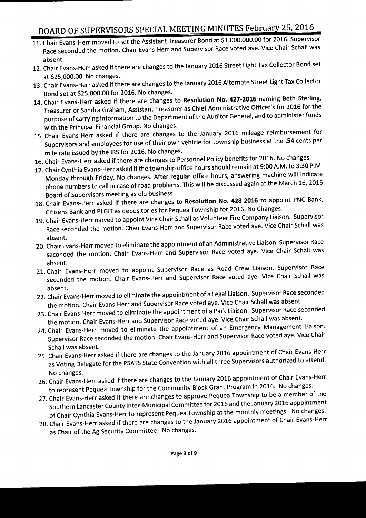- 11. Chair Evans-Herr moved to set the Assistant Treasurer Bond at \$1,000,000.00 for 2016. Supervisor Race seconded the motion. Chair Evans- Herr and Supervisor Race voted aye. Vice Chair Schall was absent.
- 12. Chair Evans- Herr asked if there are changes to the January 2016 Street Light Tax Collector Bond set at \$25,000.00. No changes.
- 13. Chair Evans- Herr asked if there are changes to the January 2016 Alternate Street Light Tax Collector Bond set at \$25,000.00 for 2016. No changes.
- 14. Chair Evans-Herr asked if there are changes to Resolution No. 427-2016 naming Beth Sterling, Treasurer or Sandra Graham, Assistant Treasurer as Chief Administrative Officer' <sup>s</sup> for 2016 for the purpose of carrying information to the Department of the Auditor General, and to administer funds with the Principal Financial Group. No changes.
- 15. Chair Evans- Herr asked if there are changes to the January 2016 mileage reimbursement for Supervisors and employees for use of their own vehicle for township business at the . 54 cents per mile rate issued by the IRS for 2016. No changes.
- 16. Chair Evans- Herr asked if there are changes to Personnel Policy benefits for 2016. No changes.
- 17. Chair Cynthia Evans-Herr asked if the township office hours should remain at 9:00 A.M. to 3:30 P.M. Monday through Friday. No changes. After regular office hours, answering machine will indicate phone numbers to call in case of road problems. This will be discussed again at the March 16, 2016 Board of Supervisors meeting as old business.
- 18. Chair Evans-Herr asked if there are changes to Resolution No. 428-2016 to appoint PNC Bank, Citizens Bank and PLGIT as depositories for Pequea Township for 2016. No Changes.
- 19. Chair Evans- Herr moved to appoint Vice Chair Schall as Volunteer Fire Company Liaison. Supervisor Race seconded the motion. Chair Evans- Herr and Supervisor Race voted aye. Vice Chair Schall was absent.
- 20. Chair Evans- Herr moved to eliminate the appointment of an Administrative Liaison. Supervisor Race seconded the motion. Chair Evans-Herr and Supervisor Race voted aye. Vice Chair Schall was absent.
- 21. Chair Evans-Herr moved to appoint Supervisor Race as Road Crew Liaison. Supervisor Race seconded the motion. Chair Evans- Herr and Supervisor Race voted aye. Vice Chair Schall was absent.
- 22. Chair Evans- Herr moved to eliminate the appointment of <sup>a</sup> Legal Liaison. Supervisor Race seconded the motion. Chair Evans- Herr and Supervisor Race voted aye. Vice Chair Schall was absent.
- 23. Chair Evans- Herr moved to eliminate the appointment of <sup>a</sup> Park Liaison. Supervisor Race seconded the motion. Chair Evans- Herr and Supervisor Race voted aye. Vice Chair Schall was absent.
- 24. Chair Evans-Herr moved to eliminate the appointment of an Emergency Management Liaison. Supervisor Race seconded the motion. Chair Evans- Herr and Supervisor Race voted aye. Vice Chair Schall was absent.
- 25. Chair Evans- Herr asked if there are changes to the January 2016 appointment of Chair Evans- Herr as Voting Delegate for the PSATS State Convention with all three Supervisors authorized to attend. No changes.
- 26. Chair Evans- Herr asked if there are changes to the January 2016 appointment of Chair Evans- Herr to represent Pequea Township for the Community Block Grant Program in 2016. No changes.
- 27. Chair Evans- Herr asked if there are changes to approve Pequea Township to be <sup>a</sup> member of the Southern Lancaster County Inter-Municipal Committee for 2016 and the January 2016 appointment of Chair Cynthia Evans- Herr to represent Pequea Township at the monthly meetings. No changes.
- 28. Chair Evans- Herr asked if there are changes to the January 2016 appointment of Chair Evans- Herr as Chair of the Ag Security Committee. No changes.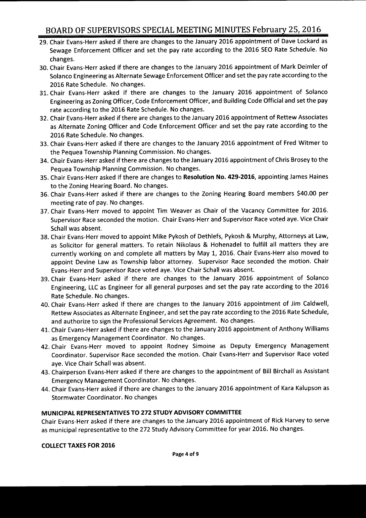- 29. Chair Evans- Herr asked if there are changes to the January 2016 appointment of Dave Lockard as Sewage Enforcement Officer and set the pay rate according to the 2016 SEO Rate Schedule. No changes.
- 30. Chair Evans- Herr asked if there are changes to the January 2016 appointment of Mark Deimler of Solanco Engineering as Alternate Sewage Enforcement Officer and set the pay rate according to the 2016 Rate Schedule. No changes.
- 31. Chair Evans-Herr asked if there are changes to the January 2016 appointment of Solanco Engineering as Zoning Officer, Code Enforcement Officer, and Building Code Official and set the pay rate according to the 2016 Rate Schedule. No changes.
- 32. Chair Evans- Herr asked if there are changes to the January 2016 appointment of Rettew Associates as Alternate Zoning Officer and Code Enforcement Officer and set the pay rate according to the 2016 Rate Schedule. No changes.
- 33. Chair Evans- Herr asked if there are changes to the January 2016 appointment of Fred Witmer to the Pequea Township Planning Commission. No changes.
- 34. Chair Evans- Herr asked if there are changes to the January 2016 appointment of Chris Brosey to the Pequea Township Planning Commission. No changes.
- 35. Chair Evans- Herr asked if there are changes to Resolution No. 429-2016, appointing James Haines to the Zoning Hearing Board. No changes.
- 36. Chair Evans-Herr asked if there are changes to the Zoning Hearing Board members \$40.00 per meeting rate of pay. No changes.
- 37. Chair Evans-Herr moved to appoint Tim Weaver as Chair of the Vacancy Committee for 2016. Supervisor Race seconded the motion. Chair Evans- Herr and Supervisor Race voted aye. Vice Chair Schall was absent.
- 38. Chair Evans- Herr moved to appoint Mike Pykosh of Dethlefs, Pykosh & Murphy, Attorneys at Law, as Solicitor for general matters. To retain Nikolaus & Hohenadel to fulfill all matters they are currently working on and complete all matters by May 1, 2016. Chair Evans-Herr also moved to appoint Devine Law as Township labor attorney. Supervisor Race seconded the motion. Chair Evans- Herr and Supervisor Race voted aye. Vice Chair Schall was absent.
- 39. Chair Evans-Herr asked if there are changes to the January 2016 appointment of Solanco Engineering, LLC as Engineer for all general purposes and set the pay rate according to the 2016 Rate Schedule. No changes.
- 40. Chair Evans- Herr asked if there are changes to the January 2016 appointment of Jim Caldwell, Rettew Associates as Alternate Engineer, and set the pay rate according to the 2016 Rate Schedule, and authorize to sign the Professional Services Agreement. No changes.
- 41. Chair Evans- Herr asked if there are changes to the January 2016 appointment of Anthony Williams as Emergency Management Coordinator. No changes.
- 42. Chair Evans-Herr moved to appoint Rodney Simoine as Deputy Emergency Management Coordinator. Supervisor Race seconded the motion. Chair Evans- Herr and Supervisor Race voted aye. Vice Chair Schall was absent.
- 43. Chairperson Evans- Herr asked if there are changes to the appointment of Bill Birchall as Assistant Emergency Management Coordinator. No changes.
- 44. Chair Evans- Herr asked if there are changes to the January 2016 appointment of Kara Kalupson as Stormwater Coordinator. No changes

### MUNICIPAL REPRESENTATIVES TO 272 STUDY ADVISORY COMMITTEE

Chair Evans- Herr asked if there are changes to the January 2016 appointment of Rick Harvey to serve as municipal representative to the 272 Study Advisory Committee for year 2016. No changes.

#### COLLECT TAXES FOR 2016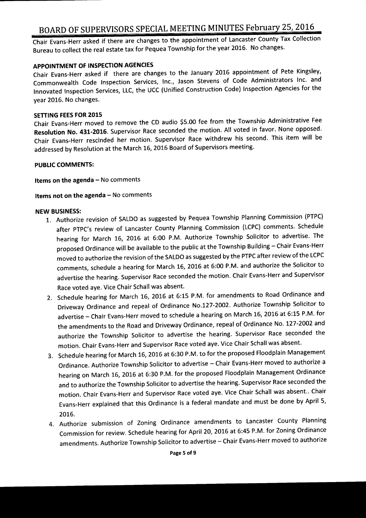Chair Evans- Herr asked if there are changes to the appointment of Lancaster County Tax Collection Bureau to collect the real estate tax for Pequea Township for the year 2016. No changes.

#### APPOINTMENT OF INSPECTION AGENCIES

Chair Evans-Herr asked if there are changes to the January 2016 appointment of Pete Kingsley, Commonwealth Code Inspection Services, Inc., Jason Stevens of Code Administrators Inc. and Innovated Inspection Services, LLC, the UCC ( Unified Construction Code) Inspection Agencies for the year 2016. No changes.

#### SETTING FEES FOR 2015

Chair Evans-Herr moved to remove the CD audio \$5.00 fee from the Township Administrative Fee Resolution No. 431-2016. Supervisor Race seconded the motion. All voted in favor. None opposed. Chair Evans- Herr rescinded her motion. Supervisor Race withdrew his second. This item will be addressed by Resolution at the March 16, 2016 Board of Supervisors meeting.

#### PUBLIC COMMENTS:

Items on the agenda— No comments

#### Items not on the agenda— No comments

#### NEW BUSINESS:

- 1. Authorize revision of SALDO as suggested by Pequea Township Planning Commission ( PTPC) after PTPC's review of Lancaster County Planning Commission (LCPC) comments. Schedule hearing for March 16, 2016 at 6:00 P.M. Authorize Township Solicitor to advertise. The proposed Ordinance will be available to the public at the Township Building— Chair Evans- Herr moved to authorize the revision of the SALDO as suggested by the PTPC after review of the LCPC comments, schedule a hearing for March 16, 2016 at 6:00 P.M. and authorize the Solicitor to advertise the hearing. Supervisor Race seconded the motion. Chair Evans- Herr and Supervisor Race voted aye. Vice Chair Schall was absent.
- 2. Schedule hearing for March 16, 2016 at 6:15 P.M. for amendments to Road Ordinance and Driveway Ordinance and repeal of Ordinance No. 127- 2002. Authorize Township Solicitor to advertise - Chair Evans-Herr moved to schedule a hearing on March 16, 2016 at 6:15 P.M. for the amendments to the Road and Driveway Ordinance, repeal of Ordinance No. 127-2002 and authorize the Township Solicitor to advertise the hearing. Supervisor Race seconded the motion. Chair Evans- Herr and Supervisor Race voted aye. Vice Chair Schall was absent.
- 3. Schedule hearing for March 16, 2016 at 6:30 P.M. to for the proposed Floodplain Management Ordinance. Authorize Township Solicitor to advertise —Chair Evans- Herr moved to authorize <sup>a</sup> hearing on March 16, 2016 at 6:30 P.M. for the proposed Floodplain Management Ordinance and to authorize the Township Solicitor to advertise the hearing. Supervisor Race seconded the motion. Chair Evans-Herr and Supervisor Race voted aye. Vice Chair Schall was absent.. Chair Evans- Herr explained that this Ordinance is <sup>a</sup> federal mandate and must be done by April 5, 2016.
- 4. Authorize submission of Zoning Ordinance amendments to Lancaster County Planning Commission for review. Schedule hearing for April 20, 2016 at 6: 45 P. M. for Zoning Ordinance amendments. Authorize Township Solicitor to advertise— Chair Evans- Herr moved to authorize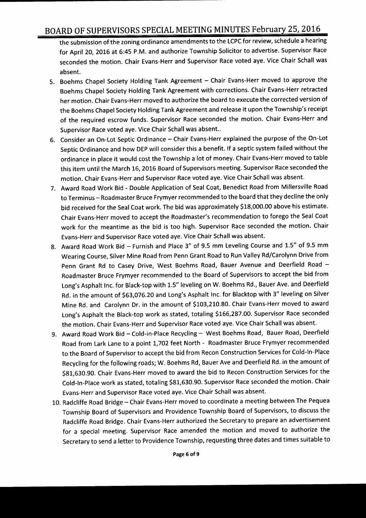the submission of the zoning ordinance amendments to the LCPC for review, schedule <sup>a</sup> hearing for April 20, 2016 at 6:45 P.M. and authorize Township Solicitor to advertise. Supervisor Race seconded the motion. Chair Evans-Herr and Supervisor Race voted aye. Vice Chair Schall was absent.

- 5. Boehms Chapel Society Holding Tank Agreement Chair Evans- Herr moved to approve the Boehms Chapel Society Holding Tank Agreement with corrections. Chair Evans- Herr retracted her motion. Chair Evans-Herr moved to authorize the board to execute the corrected version of the Boehms Chapel Society Holding Tank Agreement and release it upon the Township's receipt of the required escrow funds. Supervisor Race seconded the motion. Chair Evans-Herr and Supervisor Race voted aye. Vice Chair Schall was absent..
- 6. Consider an On-Lot Septic Ordinance Chair Evans-Herr explained the purpose of the On-Lot Septic Ordinance and how DEP will consider this <sup>a</sup> benefit. If <sup>a</sup> septic system failed without the ordinance in place it would cost the Township <sup>a</sup> lot of money. Chair Evans- Herr moved to table this item until the March 16, 2016 Board of Supervisors meeting. Supervisor Race seconded the motion. Chair Evans- Herr and Supervisor Race voted aye. Vice Chair Schall was absent.
- 7. Award Road Work Bid Double Application of Seal Coat, Benedict Road from Millersville Road to Terminus—Roadmaster Bruce Frymyer recommended to the board that they decline the only bid received for the Seal Coat work. The bid was approximately \$18,000.00 above his estimate. Chair Evans-Herr moved to accept the Roadmaster's recommendation to forego the Seal Coat work for the meantime as the bid is too high. Supervisor Race seconded the motion. Chair Evans- Herr and Supervisor Race voted aye. Vice Chair Schall was absent.
- 8. Award Road Work Bid Furnish and Place 3" of 9.5 mm Leveling Course and 1.5" of 9.5 mm Wearing Course, Silver Mine Road from Penn Grant Road to Run Valley Rd/Carolynn Drive from Penn Grant Rd to Casey Drive, West Boehms Road, Bauer Avenue and Deerfield Road — Roadmaster Bruce Frymyer recommended to the Board of Supervisors to accept the bid from Long's Asphalt Inc. for Black-top with 1.5" leveling on W. Boehms Rd., Bauer Ave. and Deerfield Rd. in the amount of \$63,076.20 and Long's Asphalt Inc. for Blacktop with 3" leveling on Silver Mine Rd. and Carolynn Dr. in the amount of \$103, 210.80. Chair Evans- Herr moved to award Long's Asphalt the Black-top work as stated, totaling \$166,287.00. Supervisor Race seconded the motion. Chair Evans- Herr and Supervisor Race voted aye. Vice Chair Schall was absent.
- 9. Award Road Work Bid Cold-in-Place Recycling West Boehms Road, Bauer Road, Deerfield Road from Lark Lane to <sup>a</sup> point 1, 702 feet North - Roadmaster Bruce Frymyer recommended to the Board of Supervisor to accept the bid from Recon Construction Services for Cold-In-Place Recycling for the following roads; W. Boehms Rd, Bauer Ave and Deerfield Rd. in the amount of \$81, 630.90. Chair Evans-Herr moved to award the bid to Recon Construction Services for the Cold-In-Place work as stated, totaling \$81,630.90. Supervisor Race seconded the motion. Chair Evans- Herr and Supervisor Race voted aye. Vice Chair Schall was absent.
- 10. Radcliffe Road Bridge— Chair Evans- Herr moved to coordinate <sup>a</sup> meeting between The Pequea Township Board of Supervisors and Providence Township Board of Supervisors, to discuss the Radcliffe Road Bridge. Chair Evans- Herr authorized the Secretary to prepare an advertisement for <sup>a</sup> special meeting. Supervisor Race amended the motion and moved to authorize the Secretary to send <sup>a</sup> letter to Providence Township, requesting three dates and times suitable to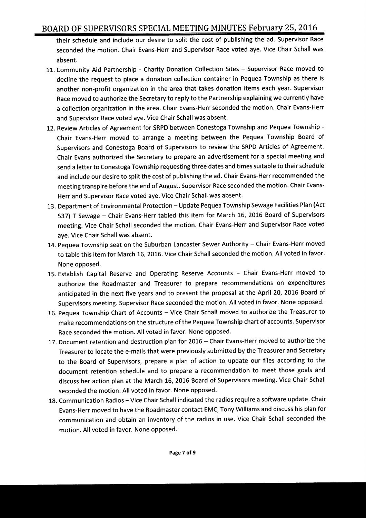their schedule and include our desire to split the cost of publishing the ad. Supervisor Race seconded the motion. Chair Evans-Herr and Supervisor Race voted aye. Vice Chair Schall was absent.

- 11. Community Aid Partnership Charity Donation Collection Sites Supervisor Race moved to decline the request to place a donation collection container in Pequea Township as there is another non-profit organization in the area that takes donation items each year. Supervisor Race moved to authorize the Secretary to reply to the Partnership explaining we currently have a collection organization in the area. Chair Evans-Herr seconded the motion. Chair Evans-Herr and Supervisor Race voted aye. Vice Chair Schall was absent.
- 12. Review Articles of Agreement for SRPD between Conestoga Township and Pequea Township Chair Evans- Herr moved to arrange <sup>a</sup> meeting between the Pequea Township Board of Supervisors and Conestoga Board of Supervisors to review the SRPD Articles of Agreement. Chair Evans authorized the Secretary to prepare an advertisement for <sup>a</sup> special meeting and send <sup>a</sup> letter to Conestoga Township requesting three dates and times suitable to their schedule and include our desire to split the cost of publishing the ad. Chair Evans- Herr recommended the meeting transpire before the end of August. Supervisor Race seconded the motion. Chair Evans-Herr and Supervisor Race voted aye. Vice Chair Schall was absent.
- 13. Department of Environmental Protection—Update Pequea Township Sewage Facilities Plan( Act 537) T Sewage — Chair Evans- Herr tabled this item for March 16, 2016 Board of Supervisors meeting. Vice Chair Schall seconded the motion. Chair Evans- Herr and Supervisor Race voted aye. Vice Chair Schall was absent.
- 14. Pequea Township seat on the Suburban Lancaster Sewer Authority Chair Evans-Herr moved to table this item for March 16, 2016. Vice Chair Schall seconded the motion. All voted in favor. None opposed.
- 15. Establish Capital Reserve and Operating Reserve Accounts Chair Evans- Herr moved to authorize the Roadmaster and Treasurer to prepare recommendations on expenditures anticipated in the next five years and to present the proposal at the April 20, 2016 Board of Supervisors meeting. Supervisor Race seconded the motion. All voted in favor. None opposed.
- 16. Pequea Township Chart of Accounts Vice Chair Schall moved to authorize the Treasurer to make recommendations on the structure of the Pequea Township chart of accounts. Supervisor Race seconded the motion. All voted in favor. None opposed.
- 17. Document retention and destruction plan for 2016— Chair Evans- Herr moved to authorize the Treasurer to locate the e-mails that were previously submitted by the Treasurer and Secretary to the Board of Supervisors, prepare <sup>a</sup> plan of action to update our files according to the document retention schedule and to prepare <sup>a</sup> recommendation to meet those goals and discuss her action plan at the March 16, 2016 Board of Supervisors meeting. Vice Chair Schall seconded the motion. All voted in favor. None opposed.
- 18. Communication Radios— Vice Chair Schall indicated the radios require <sup>a</sup> software update. Chair Evans- Herr moved to have the Roadmaster contact EMC, Tony Williams and discuss his plan for communication and obtain an inventory of the radios in use. Vice Chair Schall seconded the motion. All voted in favor. None opposed.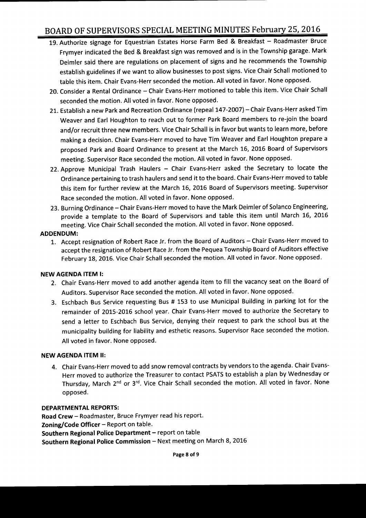- 19. Authorize signage for Equestrian Estates Horse Farm Bed & Breakfast Roadmaster Bruce Frymyer indicated the Bed & Breakfast sign was removed and is in the Township garage. Mark Deimler said there are regulations on placement of signs and he recommends the Township establish guidelines if we want to allow businesses to post signs. Vice Chair Schall motioned to table this item. Chair Evans- Herr seconded the motion. All voted in favor. None opposed.
- 20. Consider <sup>a</sup> Rental Ordinance —Chair Evans- Herr motioned to table this item. Vice Chair Schall seconded the motion. All voted in favor. None opposed.
- 21. Establish a new Park and Recreation Ordinance (repeal 147-2007) Chair Evans-Herr asked Tim Weaver and Earl Houghton to reach out to former Park Board members to re-join the board and/or recruit three new members. Vice Chair Schall is in favor but wants to learn more, before making <sup>a</sup> decision. Chair Evans- Herr moved to have Tim Weaver and Earl Houghton prepare <sup>a</sup> proposed Park and Board Ordinance to present at the March 16, 2016 Board of Supervisors meeting. Supervisor Race seconded the motion. All voted in favor. None opposed.
- 22. Approve Municipal Trash Haulers Chair Evans- Herr asked the Secretary to locate the Ordinance pertaining to trash haulers and send it to the board. Chair Evans- Herr moved to table this item for further review at the March 16, 2016 Board of Supervisors meeting. Supervisor Race seconded the motion. All voted in favor. None opposed.
- 23. Burning Ordinance—Chair Evans- Herr moved to have the Mark Deimler of Solanco Engineering, provide <sup>a</sup> template to the Board of Supervisors and table this item until March 16, 2016 meeting. Vice Chair Schall seconded the motion. All voted in favor. None opposed.

#### ADDENDUM:

1. Accept resignation of Robert Race Jr. from the Board of Auditors —Chair Evans- Herr moved to accept the resignation of Robert Race Jr. from the Pequea Township Board of Auditors effective February 18, 2016. Vice Chair Schall seconded the motion. All voted in favor. None opposed.

#### NEW AGENDA ITEM I:

- 2. Chair Evans- Herr moved to add another agenda item to fill the vacancy seat on the Board of Auditors. Supervisor Race seconded the motion. All voted in favor. None opposed.
- 3. Eschbach Bus Service requesting Bus # 153 to use Municipal Building in parking lot for the remainder of 2015-2016 school year. Chair Evans-Herr moved to authorize the Secretary to send <sup>a</sup> letter to Eschbach Bus Service, denying their request to park the school bus at the municipality building for liability and esthetic reasons. Supervisor Race seconded the motion. All voted in favor. None opposed.

#### NEW AGENDA ITEM II:

4. Chair Evans- Herr moved to add snow removal contracts by vendors to the agenda. Chair Evans-Herr moved to authorize the Treasurer to contact PSATS to establish <sup>a</sup> plan by Wednesday or Thursday, March 2<sup>nd</sup> or 3<sup>rd</sup>. Vice Chair Schall seconded the motion. All voted in favor. None opposed.

#### DEPARTMENTAL REPORTS:

Road Crew— Roadmaster, Bruce Frymyer read his report. Zoning/ Code Officer - Report on table. Southern Regional Police Department—report on table Southern Regional Police Commission— Next meeting on March 8, 2016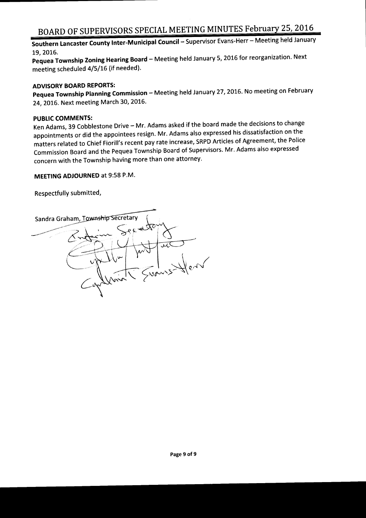Southern Lancaster County Inter-Municipal Council – Supervisor Evans-Herr – Meeting held January 19, 2016.

Pequea Township Zoning Hearing Board— Meeting held January 5, 2016 for reorganization. Next meeting scheduled 4/5/16 (if needed).

#### ADVISORY BOARD REPORTS:

Pequea Township Planning Commission - Meeting held January 27, 2016. No meeting on February 24, 2016. Next meeting March 30, 2016.

#### PUBLIC COMMENTS:

Ken Adams, <sup>39</sup> Cobblestone Drive— Mr. Adams asked if the board made the decisions to change appointments or did the appointees resign. Mr. Adams also expressed his dissatisfaction on the matters related to Chief Fiorill's recent pay rate increase, SRPD Articles of Agreement, the Police Commission Board and the Pequea Township Board of Supervisors. Mr. Adams also expressed concern with the Township having more than one attorney.

#### MEETING ADJOURNED at 9:58 P.M.

Respectfully submitted,

Sandra Graham, Township Secretary **j**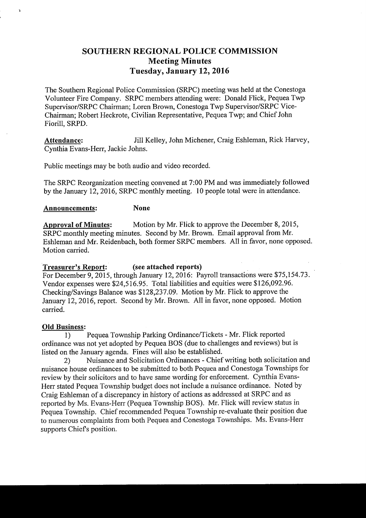### SOUTHERN REGIONAL POLICE COMMISSION Meeting Minutes Tuesday, January 12, 2016

The Southern Regional Police Commission( SRPC) meeting was held at the Conestoga Volunteer Fire Company. SRPC members attending were: Donald Flick, Pequea Twp Supervisor/SRPC Chairman; Loren Brown, Conestoga Twp Supervisor/SRPC Vice-Chairman; Robert Heckrote, Civilian Representative, Pequea Twp; and Chief John Fiorill, SRPD.

Attendance: Jill Kelley, John Michener, Craig Eshleman, Rick Harvey, Cynthia Evans-Herr, Jackie Johns.

Public meetings may be both audio and video recorded.

The SRPC Reorganization meeting convened at 7: 00 PM and was immediately followed by the January 12, 2016, SRPC monthly meeting. <sup>10</sup> people total were in attendance.

#### Announcements: None

Approval of Minutes: Motion by Mr. Flick to approve the December 8, 2015, SRPC monthly meeting minutes. Second by Mr. Brown. Email approval from Mr. Eshleman and Mr. Reidenbach, both former SRPC members. All in favor, none opposed. Motion carried.

#### Treasurer's Report: (see attached reports)

For December 9, 2015, through January 12, 2016: Payroll transactions were \$75, 154. 73. Vendor expenses were \$24,516.95. Total liabilities and equities were \$126,092.96. Checking/Savings Balance was \$128,237.09. Motion by Mr. Flick to approve the January 12, 2016, report. Second by Mr. Brown. All in favor, none opposed. Motion carried.

#### Old Business:

 $\ddot{ }$ 

1) Pequea Township Parking Ordinance/Tickets - Mr. Flick reported ordinance was not yet adopted by Pequea BOS ( due to challenges and reviews) but is

listed on the January agenda. Fines will also be established.<br>2) Nuisance and Solicitation Ordinances - Chief 2) Nuisance and Solicitation Ordinances - Chief writing both solicitation and nuisance house ordinances to be submitted to both Pequea and Conestoga Townships for review by their solicitors and to have same wording for enforcement. Cynthia Evans-Herr stated Pequea Township budget does not include a nuisance ordinance. Noted by Craig Eshleman of <sup>a</sup> discrepancy in history of actions as addressed at SRPC and as reported by Ms. Evans-Herr( Pequea Township BOS). Mr. Flick will review status in Pequea Township. Chief recommended Pequea Township re-evaluate their position due to numerous complaints from both Pequea and Conestoga Townships. Ms. Evans-Herr supports Chiefs position.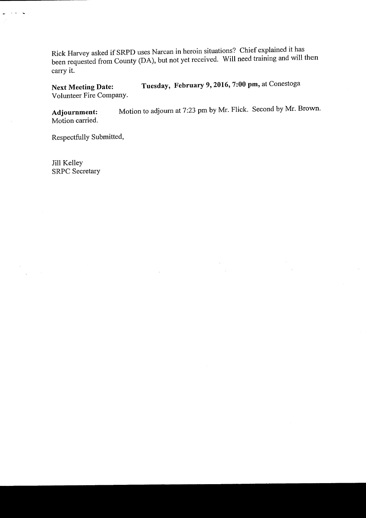Rick Harvey asked if SRPD uses Narcan in heroin situations? Chief explained it has been requested from County (DA), but not yet received. Will need training and will then carry it.

Next Meeting Date: Tuesday, February 9, 2016, 7:00 pm, at Conestoga Volunteer Fire Company.

Adjournment: Motion to adjourn at 7:23 pm by Mr. Flick. Second by Mr. Brown. Motion carried.

Respectfully Submitted,

Jill Kelley SRPC Secretary

 $\Delta\sim 10$  $\ddot{\phantom{0}}$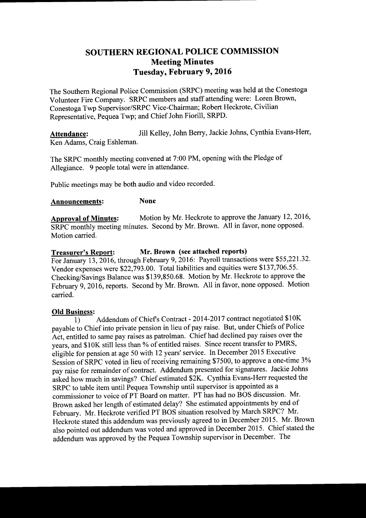### SOUTHERN REGIONAL POLICE COMMISSION Meeting Minutes Tuesday, February 9, 2016

The Southern Regional Police Commission (SRPC) meeting was held at the Conestoga Volunteer Fire Company. SRPC members and staff attending were: Loren Brown, Conestoga Twp Supervisor/SRPC Vice-Chairman; Robert Heckrote, Civilian Representative, Pequea Twp; and Chief John Fiorill, SRPD.

Attendance: Jill Kelley, John Berry, Jackie Johns, Cynthia Evans-Herr, Ken Adams, Craig Eshleman.

The SRPC monthly meeting convened at 7:00 PM, opening with the Pledge of Allegiance. 9 people total were in attendance.

Public meetings may be both audio and video recorded.

#### Announcements: None

Approval of Minutes: Motion by Mr. Heckrote to approve the January 12, 2016, SRPC monthly meeting minutes. Second by Mr. Brown. All in favor, none opposed. Motion carried.

#### Treasurer's Report: Mr. Brown (see attached reports)

For January 13, 2016, through February 9, 2016: Payroll transactions were \$55,221.32. Vendor expenses were \$22,793.00. Total liabilities and equities were \$137,706.55. Checking/Savings Balance was \$ 139, 850.68. Motion by Mr. Heckrote to approve the February 9, 2016, reports. Second by Mr. Brown. All in favor, none opposed. Motion carried.

#### Old Business:

 $\overline{1)}$  Addendum of Chief's Contract - 2014-2017 contract negotiated \$10K payable to Chief into private pension in lieu of pay raise. But, under Chiefs of Police Act, entitled to same pay raises as patrolman. Chief had declined pay raises over the years, and \$10K still less than % of entitled raises. Since recent transfer to PMRS, eligible for pension at age 50 with 12 years' service. In December 2015 Executive Session of SRPC voted in lieu of receiving remaining \$7500, to approve a one-time 3% pay raise for remainder of contract. Addendum presented for signatures. Jackie Johns asked how much in savings? Chief estimated \$2K. Cynthia Evans-Herr requested the SRPC to table item until Pequea Township until supervisor is appointed as a commissioner to voice of PT Board on matter. PT has had no BOS discussion. Mr. Brown asked her length of estimated delay? She estimated appointments by end of February. Mr. Heckrote verified PT BOS situation resolved by March SRPC? Mr. Heckrote stated this addendum was previously agreed to in December 2015. Mr. Brown also pointed out addendum was voted and approved in December 2015. Chief stated the addendum was approved by the Pequea Township supervisor in December. The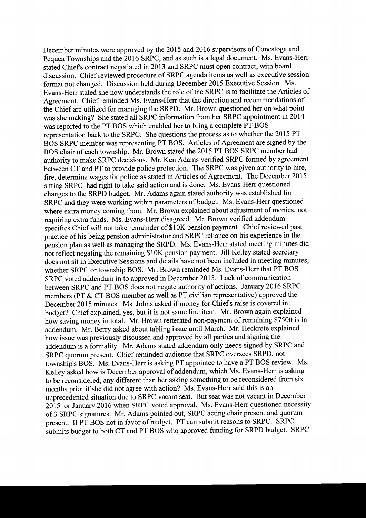December minutes were approved by the 2015 and 2016 supervisors of Conestoga and Pequea Townships and the 2016 SRPC, and as such is a legal document. Ms. Evans-Herr stated Chiefs contract negotiated in 2013 and SRPC must open contract, with board discussion. Chief reviewed procedure of SRPC agenda items as well as executive session format not changed. Discussion held during December 2015 Executive Session. Ms. Evans-Herr stated she now understands the role of the SRPC is to facilitate the Articles of Agreement. Chief reminded Ms. Evans- Herr that the direction and recommendations of the Chief are utilized for managing the SRPD. Mr. Brown questioned her on what point was she making? She stated all SRPC information from her SRPC appointment in 2014 was reported to the PT BOS which enabled her to bring a complete PT BOS representation back to the SRPC. She questions the process as to whether the 2015 PT BOS SRPC member was representing PT BOS. Articles of Agreement are signed by the BOS chair of each township. Mr. Brown stated the 2015 PT BOS SRPC member had authority to make SRPC decisions. Mr. Ken Adams verified SRPC formed by agreement between CT and PT to provide police protection. The SRPC was given authority to hire, fire, determine wages for police as stated in Articles of Agreement. The December 2015 sitting SRPC had right to take said action and is done. Ms. Evans-Herr questioned changes to the SRPD budget. Mr. Adams again stated authority was established for SRPC and they were working within parameters of budget. Ms. Evans-Herr questioned where extra money coming from. Mr. Brown explained about adjustment of monies, not requiring extra funds. Ms. Evans-Herr disagreed. Mr. Brown verified addendum specifies Chief will not take remainder of \$10K pension payment. Chief reviewed past practice of his being pension administrator and SRPC reliance on his experience in the pension plan as well as managing the SRPD. Ms. Evans- Herr stated meeting minutes did not reflect negating the remaining \$10K pension payment. Jill Kelley stated secretary does not sit in Executive Sessions and details have not been included in meeting minutes, whether SRPC or township BOS. Mr. Brown reminded Ms. Evans- Herr that PT BOS SRPC voted addendum in to approved in December 2015. Lack of communication between SRPC and PT BOS does not negate authority of actions. January 2016 SRPC members (PT & CT BOS member as well as PT civilian representative) approved the December <sup>2015</sup> minutes. Ms. Johns asked if money for Chiefs raise is covered in budget? Chief explained, yes, but it is not same line item. Mr. Brown again explained how saving money in total. Mr. Brown reiterated non-payment of remaining \$7500 is in addendum. Mr. Berry asked about tabling issue until March. Mr. Heckrote explained how issue was previously discussed and approved by all parties and signing the addendum is a formality. Mr. Adams stated addendum only needs signed by SRPC and SRPC quorum present. Chief reminded audience that SRPC oversees SRPD, not township's BOS. Ms. Evans-Herr is asking PT appointee to have a PT BOS review. Ms. Kelley asked how is December approval of addendum, which Ms. Evans-Herr is asking to be reconsidered, any different than her asking something to be reconsidered from six months prior if she did not agree with action? Ms. Evans-Herr said this is an unprecedented situation due to SRPC vacant seat. But seat was not vacant in December 2015 or January 2016 when SRPC voted approval. Ms. Evans- Herr questioned necessity of <sup>3</sup> SRPC signatures. Mr. Adams pointed out, SRPC acting chair present and quorum present. If PT BOS not in favor of budget, PT can submit reasons to SRPC. SRPC submits budget to both CT and PT BOS who approved funding for SRPD budget. SRPC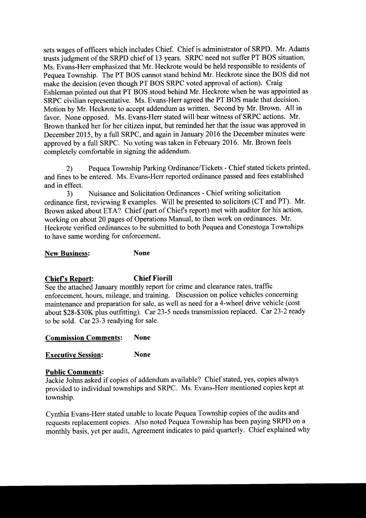sets wages of officers which includes Chief. Chief is administrator of SRPD. Mr. Adams trusts judgment of the SRPD chief of 13 years. SRPC need not suffer PT BOS situation. Ms. Evans-Herr emphasized that Mr. Heckrote would be held responsible to residents of Pequea Township. The PT BOS cannot stand behind Mr. Heckrote since the BOS did not make the decision (even though PT BOS SRPC voted approval of action). Craig Eshleman pointed out that PT BOS stood behind Mr. Heckrote when he was appointed as SRPC civilian representative. Ms. Evans-Herr agreed the PT BOS made that decision. Motion by Mr. Heckrote to accept addendum as written. Second by Mr. Brown. All in favor. None opposed. Ms. Evans-Herr stated will bear witness of SRPC actions. Mr. Brown thanked her for her citizen input, but reminded her that the issue was approved in December 2015, by a full SRPC, and again in January 2016 the December minutes were approved by a full SRPC. No voting was taken in February 2016. Mr. Brown feels completely comfortable in signing the addendum.

2) Pequea Township Parking Ordinance/Tickets - Chief stated tickets printed, and fines to be entered. Ms. Evans-Herr reported ordinance passed and fees established and in effect.

3) Nuisance and Solicitation Ordinances - Chief writing solicitation ordinance first, reviewing <sup>8</sup> examples. Will be presented to solicitors (CT and PT). Mr. Brown asked about ETA? Chief (part of Chief's report) met with auditor for his action, working on about 20 pages of Operations Manual, to then work on ordinances. Mr. Heckrote verified ordinances to be submitted to both Pequea and Conestoga Townships to have same wording for enforcement.

New Business: None

### Chief's Report: Chief Fiorill

See the attached January monthly report for crime and clearance rates, traffic enforcement, hours, mileage, and training. Discussion on police vehicles concerning maintenance and preparation for sale, as well as need for a 4-wheel drive vehicle (cost about \$28-\$30K plus outfitting). Car 23-5 needs transmission replaced. Car 23-2 ready to be sold. Car 23-3 readying for sale.

#### Commission Comments: None

Executive Session: None

#### Public Comments:

Jackie Johns asked if copies of addendum available? Chief stated, yes, copies always provided to individual townships and SRPC. Ms. Evans-Herr mentioned copies kept at township.

Cynthia Evans-Herr stated unable to locate Pequea Township copies of the audits and requests replacement copies. Also noted Pequea Township has been paying SRPD on a monthly basis, yet per audit, Agreement indicates to paid quarterly. Chief explained why